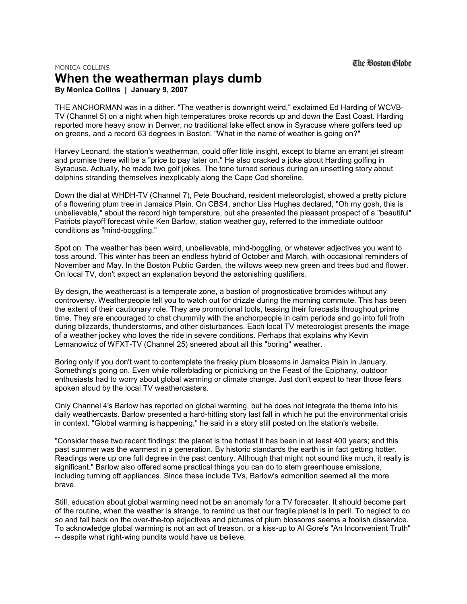## MONICA COLLINS **When the weatherman plays dumb**

**By Monica Collins | January 9, 2007** 

THE ANCHORMAN was in a dither. "The weather is downright weird," exclaimed Ed Harding of WCVB-TV (Channel 5) on a night when high temperatures broke records up and down the East Coast. Harding reported more heavy snow in Denver, no traditional lake effect snow in Syracuse where golfers teed up on greens, and a record 63 degrees in Boston. "What in the name of weather is going on?"

Harvey Leonard, the station's weatherman, could offer little insight, except to blame an errant jet stream and promise there will be a "price to pay later on." He also cracked a joke about Harding golfing in Syracuse. Actually, he made two golf jokes. The tone turned serious during an unsettling story about dolphins stranding themselves inexplicably along the Cape Cod shoreline.

Down the dial at WHDH-TV (Channel 7), Pete Bouchard, resident meteorologist, showed a pretty picture of a flowering plum tree in Jamaica Plain. On CBS4, anchor Lisa Hughes declared, "Oh my gosh, this is unbelievable," about the record high temperature, but she presented the pleasant prospect of a "beautiful" Patriots playoff forecast while Ken Barlow, station weather guy, referred to the immediate outdoor conditions as "mind-boggling."

Spot on. The weather has been weird, unbelievable, mind-boggling, or whatever adjectives you want to toss around. This winter has been an endless hybrid of October and March, with occasional reminders of November and May. In the Boston Public Garden, the willows weep new green and trees bud and flower. On local TV, don't expect an explanation beyond the astonishing qualifiers.

By design, the weathercast is a temperate zone, a bastion of prognosticative bromides without any controversy. Weatherpeople tell you to watch out for drizzle during the morning commute. This has been the extent of their cautionary role. They are promotional tools, teasing their forecasts throughout prime time. They are encouraged to chat chummily with the anchorpeople in calm periods and go into full froth during blizzards, thunderstorms, and other disturbances. Each local TV meteorologist presents the image of a weather jockey who loves the ride in severe conditions. Perhaps that explains why Kevin Lemanowicz of WFXT-TV (Channel 25) sneered about all this "boring" weather.

Boring only if you don't want to contemplate the freaky plum blossoms in Jamaica Plain in January. Something's going on. Even while rollerblading or picnicking on the Feast of the Epiphany, outdoor enthusiasts had to worry about global warming or climate change. Just don't expect to hear those fears spoken aloud by the local TV weathercasters.

Only Channel 4's Barlow has reported on global warming, but he does not integrate the theme into his daily weathercasts. Barlow presented a hard-hitting story last fall in which he put the environmental crisis in context. "Global warming is happening," he said in a story still posted on the station's website.

"Consider these two recent findings: the planet is the hottest it has been in at least 400 years; and this past summer was the warmest in a generation. By historic standards the earth is in fact getting hotter. Readings were up one full degree in the past century. Although that might not sound like much, it really is significant." Barlow also offered some practical things you can do to stem greenhouse emissions, including turning off appliances. Since these include TVs, Barlow's admonition seemed all the more brave.

Still, education about global warming need not be an anomaly for a TV forecaster. It should become part of the routine, when the weather is strange, to remind us that our fragile planet is in peril. To neglect to do so and fall back on the over-the-top adjectives and pictures of plum blossoms seems a foolish disservice. To acknowledge global warming is not an act of treason, or a kiss-up to Al Gore's "An Inconvenient Truth" -- despite what right-wing pundits would have us believe.